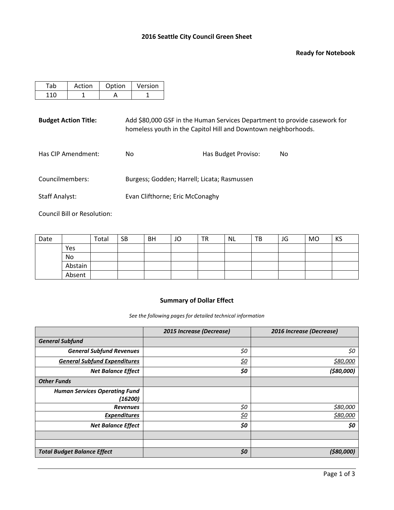#### **Ready for Notebook**

| Action | Option | Version |
|--------|--------|---------|
|        |        |         |

**Budget Action Title:** Add \$80,000 GSF in the Human Services Department to provide casework for homeless youth in the Capitol Hill and Downtown neighborhoods.

| Has CIP Amendment:    | Nο                                          | Has Budget Proviso: | No. |
|-----------------------|---------------------------------------------|---------------------|-----|
| Councilmembers:       | Burgess; Godden; Harrell; Licata; Rasmussen |                     |     |
| <b>Staff Analyst:</b> | Evan Clifthorne; Eric McConaghy             |                     |     |

Council Bill or Resolution:

| Date |         | Total | <b>SB</b> | <b>BH</b> | JO | <b>TR</b> | NL | TB | JG | <b>MO</b> | KS |
|------|---------|-------|-----------|-----------|----|-----------|----|----|----|-----------|----|
|      | Yes     |       |           |           |    |           |    |    |    |           |    |
|      | No      |       |           |           |    |           |    |    |    |           |    |
|      | Abstain |       |           |           |    |           |    |    |    |           |    |
|      | Absent  |       |           |           |    |           |    |    |    |           |    |

# **Summary of Dollar Effect**

*See the following pages for detailed technical information*

|                                      | 2015 Increase (Decrease) | 2016 Increase (Decrease) |
|--------------------------------------|--------------------------|--------------------------|
| <b>General Subfund</b>               |                          |                          |
| <b>General Subfund Revenues</b>      | \$0                      | \$0                      |
| <b>General Subfund Expenditures</b>  | <u>\$0</u>               | <u>\$80,000</u>          |
| <b>Net Balance Effect</b>            | \$0                      | (\$80,000)               |
| <b>Other Funds</b>                   |                          |                          |
| <b>Human Services Operating Fund</b> |                          |                          |
| (16200)                              |                          |                          |
| <b>Revenues</b>                      | \$0                      | \$80,000                 |
| <b>Expenditures</b>                  | <u>\$0</u>               | \$80,000                 |
| <b>Net Balance Effect</b>            | \$0                      | \$0                      |
|                                      |                          |                          |
|                                      |                          |                          |
| <b>Total Budget Balance Effect</b>   | \$0                      | ( \$80,000]              |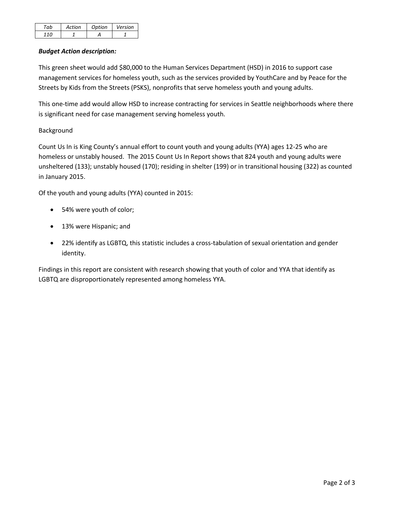| ah | Artion | Option | Version |
|----|--------|--------|---------|
|    |        |        |         |

# *Budget Action description:*

This green sheet would add \$80,000 to the Human Services Department (HSD) in 2016 to support case management services for homeless youth, such as the services provided by YouthCare and by Peace for the Streets by Kids from the Streets (PSKS), nonprofits that serve homeless youth and young adults.

This one-time add would allow HSD to increase contracting for services in Seattle neighborhoods where there is significant need for case management serving homeless youth.

# Background

Count Us In is King County's annual effort to count youth and young adults (YYA) ages 12-25 who are homeless or unstably housed. The 2015 Count Us In Report shows that 824 youth and young adults were unsheltered (133); unstably housed (170); residing in shelter (199) or in transitional housing (322) as counted in January 2015.

Of the youth and young adults (YYA) counted in 2015:

- 54% were youth of color;
- 13% were Hispanic; and
- 22% identify as LGBTQ, this statistic includes a cross-tabulation of sexual orientation and gender identity.

Findings in this report are consistent with research showing that youth of color and YYA that identify as LGBTQ are disproportionately represented among homeless YYA.